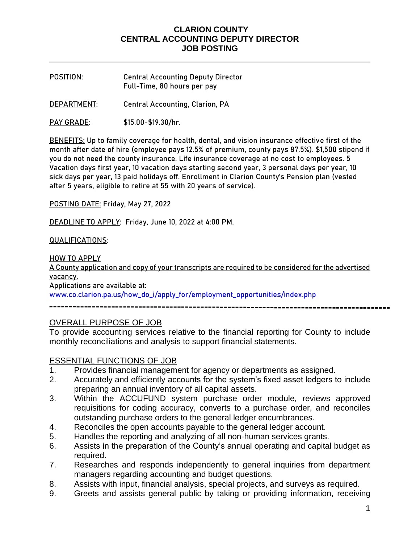- **POSITION**: **Central Accounting Deputy Director**  Full-Time, 80 hours per pay
- **DEPARTMENT**: Central Accounting, Clarion, PA
- **PAY GRADE**: \$15.00-\$19.30/hr.

**BENEFITS:** Up to family coverage for health, dental, and vision insurance effective first of the month after date of hire (employee pays 12.5% of premium, county pays 87.5%). \$1,500 stipend if you do not need the county insurance. Life insurance coverage at no cost to employees. 5 Vacation days first year, 10 vacation days starting second year, 3 personal days per year, 10 sick days per year, 13 paid holidays off. Enrollment in Clarion County's Pension plan (vested after 5 years, eligible to retire at 55 with 20 years of service).

**POSTING DATE:** Friday, May 27, 2022

**DEADLINE TO APPLY:** Friday, June 10, 2022 at 4:00 PM.

#### **QUALIFICATIONS:**

**HOW TO APPLY**

A County application and copy of your transcripts are required to be considered for the advertised vacancy.

Applications are available at:

[www.co.clarion.pa.us/how\\_do\\_i/apply\\_for/employment\\_opportunities/index.php](http://www.co.clarion.pa.us/how_do_i/apply_for/employment_opportunities/index.php)

# OVERALL PURPOSE OF JOB

To provide accounting services relative to the financial reporting for County to include monthly reconciliations and analysis to support financial statements.

### ESSENTIAL FUNCTIONS OF JOB

- 1. Provides financial management for agency or departments as assigned.
- 2. Accurately and efficiently accounts for the system's fixed asset ledgers to include preparing an annual inventory of all capital assets.
- 3. Within the ACCUFUND system purchase order module, reviews approved requisitions for coding accuracy, converts to a purchase order, and reconciles outstanding purchase orders to the general ledger encumbrances.
- 4. Reconciles the open accounts payable to the general ledger account.
- 5. Handles the reporting and analyzing of all non-human services grants.
- 6. Assists in the preparation of the County's annual operating and capital budget as required.
- 7. Researches and responds independently to general inquiries from department managers regarding accounting and budget questions.
- 8. Assists with input, financial analysis, special projects, and surveys as required.
- 9. Greets and assists general public by taking or providing information, receiving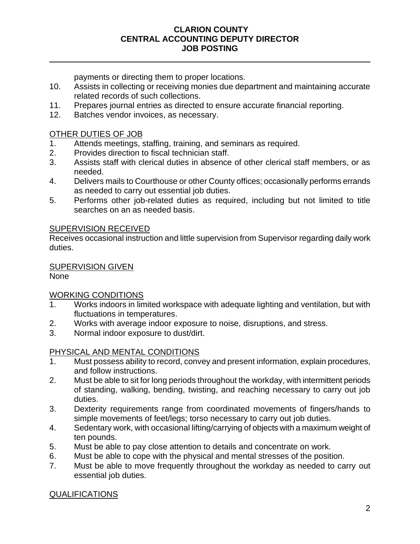payments or directing them to proper locations.

- 10. Assists in collecting or receiving monies due department and maintaining accurate related records of such collections.
- 11. Prepares journal entries as directed to ensure accurate financial reporting.
- 12. Batches vendor invoices, as necessary.

## OTHER DUTIES OF JOB

- 1. Attends meetings, staffing, training, and seminars as required.
- 2. Provides direction to fiscal technician staff.
- 3. Assists staff with clerical duties in absence of other clerical staff members, or as needed.
- 4. Delivers mails to Courthouse or other County offices; occasionally performs errands as needed to carry out essential job duties.
- 5. Performs other job-related duties as required, including but not limited to title searches on an as needed basis.

### SUPERVISION RECEIVED

Receives occasional instruction and little supervision from Supervisor regarding daily work duties.

## SUPERVISION GIVEN

None

# WORKING CONDITIONS

- 1. Works indoors in limited workspace with adequate lighting and ventilation, but with fluctuations in temperatures.
- 2. Works with average indoor exposure to noise, disruptions, and stress.
- 3. Normal indoor exposure to dust/dirt.

# PHYSICAL AND MENTAL CONDITIONS

- 1. Must possess ability to record, convey and present information, explain procedures, and follow instructions.
- 2. Must be able to sit for long periods throughout the workday, with intermittent periods of standing, walking, bending, twisting, and reaching necessary to carry out job duties.
- 3. Dexterity requirements range from coordinated movements of fingers/hands to simple movements of feet/legs; torso necessary to carry out job duties.
- 4. Sedentary work, with occasional lifting/carrying of objects with a maximum weight of ten pounds.
- 5. Must be able to pay close attention to details and concentrate on work.
- 6. Must be able to cope with the physical and mental stresses of the position.
- 7. Must be able to move frequently throughout the workday as needed to carry out essential job duties.

# QUALIFICATIONS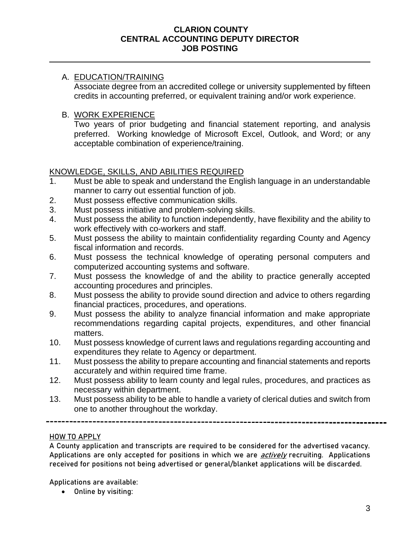## A. EDUCATION/TRAINING

Associate degree from an accredited college or university supplemented by fifteen credits in accounting preferred, or equivalent training and/or work experience.

## B. WORK EXPERIENCE

Two years of prior budgeting and financial statement reporting, and analysis preferred. Working knowledge of Microsoft Excel, Outlook, and Word; or any acceptable combination of experience/training.

## KNOWLEDGE, SKILLS, AND ABILITIES REQUIRED

- 1. Must be able to speak and understand the English language in an understandable manner to carry out essential function of job.
- 2. Must possess effective communication skills.
- 3. Must possess initiative and problem-solving skills.
- 4. Must possess the ability to function independently, have flexibility and the ability to work effectively with co-workers and staff.
- 5. Must possess the ability to maintain confidentiality regarding County and Agency fiscal information and records.
- 6. Must possess the technical knowledge of operating personal computers and computerized accounting systems and software.
- 7. Must possess the knowledge of and the ability to practice generally accepted accounting procedures and principles.
- 8. Must possess the ability to provide sound direction and advice to others regarding financial practices, procedures, and operations.
- 9. Must possess the ability to analyze financial information and make appropriate recommendations regarding capital projects, expenditures, and other financial matters.
- 10. Must possess knowledge of current laws and regulations regarding accounting and expenditures they relate to Agency or department.
- 11. Must possess the ability to prepare accounting and financial statements and reports accurately and within required time frame.
- 12. Must possess ability to learn county and legal rules, procedures, and practices as necessary within department.
- 13. Must possess ability to be able to handle a variety of clerical duties and switch from one to another throughout the workday.

## **HOW TO APPLY**

A County application and transcripts are required to be considered for the advertised vacancy. Applications are only accepted for positions in which we are *actively* recruiting. Applications received for positions not being advertised or general/blanket applications will be discarded.

Applications are available:

• Online by visiting: